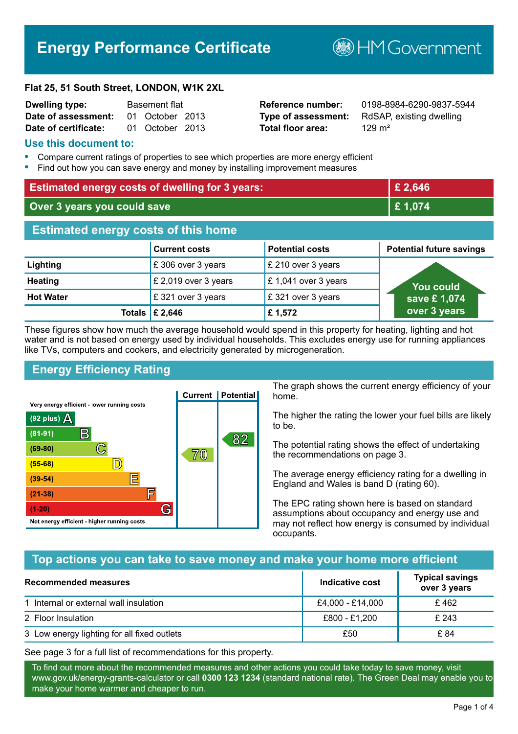# **Energy Performance Certificate**

**B**HM Government

#### **Flat 25, 51 South Street, LONDON, W1K 2XL**

| <b>Dwelling type:</b> | <b>Basement flat</b> |                 |  |
|-----------------------|----------------------|-----------------|--|
| Date of assessment:   |                      | 01 October 2013 |  |
| Date of certificate:  |                      | 01 October 2013 |  |

# **Total floor area:** 129 m<sup>2</sup>

**Reference number:** 0198-8984-6290-9837-5944 **Type of assessment:** RdSAP, existing dwelling

#### **Use this document to:**

- **•** Compare current ratings of properties to see which properties are more energy efficient
- **•** Find out how you can save energy and money by installing improvement measures

| <b>Estimated energy costs of dwelling for 3 years:</b> |                                 |                        | £ 2,646                         |  |
|--------------------------------------------------------|---------------------------------|------------------------|---------------------------------|--|
| Over 3 years you could save                            |                                 | £1,074                 |                                 |  |
| <b>Estimated energy costs of this home</b>             |                                 |                        |                                 |  |
|                                                        | <b>Current costs</b>            | <b>Potential costs</b> | <b>Potential future savings</b> |  |
| Lighting                                               | £306 over 3 years               | £ 210 over 3 years     |                                 |  |
| <b>Heating</b>                                         | £ 2,019 over 3 years            | £1,041 over 3 years    | You could                       |  |
| <b>Hot Water</b>                                       | £321 over 3 years               | £321 over 3 years      | save £1,074                     |  |
|                                                        | Totals $\mathsf{\pounds}$ 2,646 | £1,572                 | over 3 years                    |  |

These figures show how much the average household would spend in this property for heating, lighting and hot water and is not based on energy used by individual households. This excludes energy use for running appliances like TVs, computers and cookers, and electricity generated by microgeneration.

# **Energy Efficiency Rating**



The graph shows the current energy efficiency of your home.

The higher the rating the lower your fuel bills are likely to be.

The potential rating shows the effect of undertaking the recommendations on page 3.

The average energy efficiency rating for a dwelling in England and Wales is band D (rating 60).

The EPC rating shown here is based on standard assumptions about occupancy and energy use and may not reflect how energy is consumed by individual occupants.

# **Top actions you can take to save money and make your home more efficient**

| Recommended measures                        | Indicative cost  | <b>Typical savings</b><br>over 3 years |
|---------------------------------------------|------------------|----------------------------------------|
| 1 Internal or external wall insulation      | £4,000 - £14,000 | £462                                   |
| 2 Floor Insulation                          | £800 - £1,200    | £ 243                                  |
| 3 Low energy lighting for all fixed outlets | £50              | £ 84                                   |

See page 3 for a full list of recommendations for this property.

To find out more about the recommended measures and other actions you could take today to save money, visit www.gov.uk/energy-grants-calculator or call **0300 123 1234** (standard national rate). The Green Deal may enable you to make your home warmer and cheaper to run.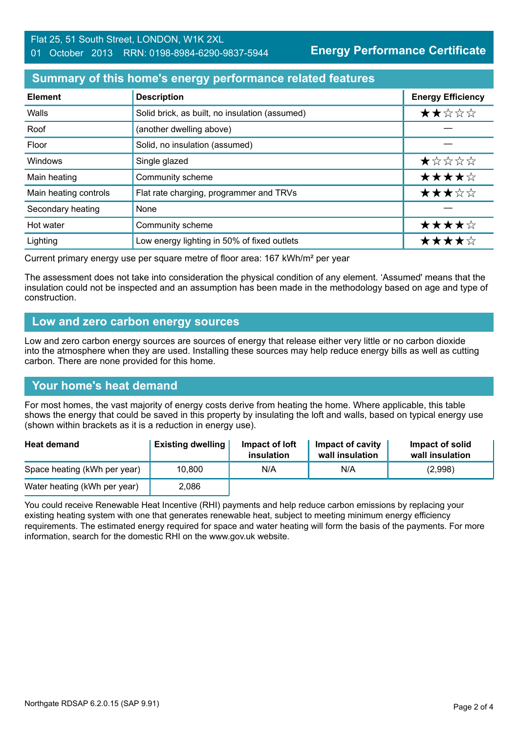## **Summary of this home's energy performance related features**

| <b>Element</b>        | <b>Description</b>                             | <b>Energy Efficiency</b> |
|-----------------------|------------------------------------------------|--------------------------|
| Walls                 | Solid brick, as built, no insulation (assumed) | ★★☆☆☆                    |
| Roof                  | (another dwelling above)                       |                          |
| Floor                 | Solid, no insulation (assumed)                 |                          |
| Windows               | Single glazed                                  | ★☆☆☆☆                    |
| Main heating          | Community scheme                               | ★★★★☆                    |
| Main heating controls | Flat rate charging, programmer and TRVs        | ★★★☆☆                    |
| Secondary heating     | None                                           |                          |
| Hot water             | Community scheme                               | ★★★★☆                    |
| Lighting              | Low energy lighting in 50% of fixed outlets    | ★★★★☆                    |

Current primary energy use per square metre of floor area: 167 kWh/m² per year

The assessment does not take into consideration the physical condition of any element. 'Assumed' means that the insulation could not be inspected and an assumption has been made in the methodology based on age and type of construction.

#### **Low and zero carbon energy sources**

Low and zero carbon energy sources are sources of energy that release either very little or no carbon dioxide into the atmosphere when they are used. Installing these sources may help reduce energy bills as well as cutting carbon. There are none provided for this home.

#### **Your home's heat demand**

For most homes, the vast majority of energy costs derive from heating the home. Where applicable, this table shows the energy that could be saved in this property by insulating the loft and walls, based on typical energy use (shown within brackets as it is a reduction in energy use).

| <b>Heat demand</b>           | <b>Existing dwelling</b> | Impact of loft<br>insulation | Impact of cavity<br>wall insulation | Impact of solid<br>wall insulation |
|------------------------------|--------------------------|------------------------------|-------------------------------------|------------------------------------|
| Space heating (kWh per year) | 10,800                   | N/A                          | N/A                                 | (2,998)                            |
| Water heating (kWh per year) | 2,086                    |                              |                                     |                                    |

You could receive Renewable Heat Incentive (RHI) payments and help reduce carbon emissions by replacing your existing heating system with one that generates renewable heat, subject to meeting minimum energy efficiency requirements. The estimated energy required for space and water heating will form the basis of the payments. For more information, search for the domestic RHI on the www.gov.uk website.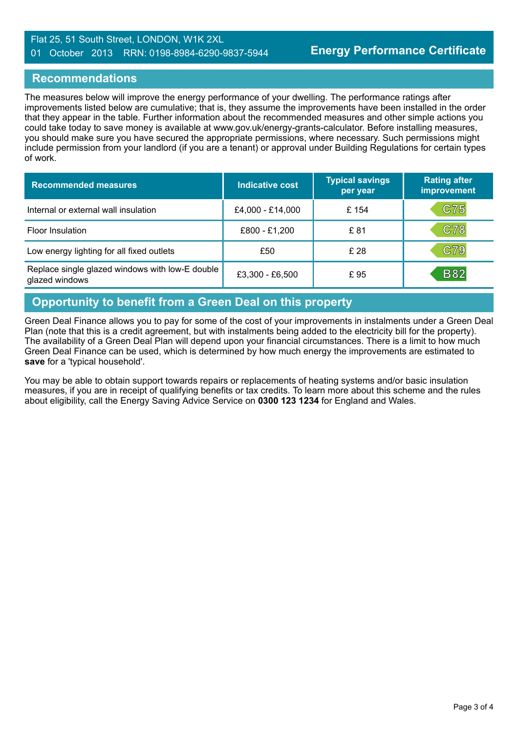#### Flat 25, 51 South Street, LONDON, W1K 2XL 01 October 2013 RRN: 0198-8984-6290-9837-5944

#### **Recommendations**

The measures below will improve the energy performance of your dwelling. The performance ratings after improvements listed below are cumulative; that is, they assume the improvements have been installed in the order that they appear in the table. Further information about the recommended measures and other simple actions you could take today to save money is available at www.gov.uk/energy-grants-calculator. Before installing measures, you should make sure you have secured the appropriate permissions, where necessary. Such permissions might include permission from your landlord (if you are a tenant) or approval under Building Regulations for certain types of work.

| <b>Recommended measures</b>                                       | Indicative cost  | <b>Typical savings</b><br>per year | <b>Rating after</b><br>improvement |
|-------------------------------------------------------------------|------------------|------------------------------------|------------------------------------|
| Internal or external wall insulation                              | £4,000 - £14,000 | £154                               | C75                                |
| <b>Floor Insulation</b>                                           | £800 - £1,200    | £ 81                               | <b>C78</b>                         |
| Low energy lighting for all fixed outlets                         | £50              | £28                                | C79                                |
| Replace single glazed windows with low-E double<br>glazed windows | £3,300 - £6,500  | £95                                | <b>B82</b>                         |

# **Opportunity to benefit from a Green Deal on this property**

Green Deal Finance allows you to pay for some of the cost of your improvements in instalments under a Green Deal Plan (note that this is a credit agreement, but with instalments being added to the electricity bill for the property). The availability of a Green Deal Plan will depend upon your financial circumstances. There is a limit to how much Green Deal Finance can be used, which is determined by how much energy the improvements are estimated to **save** for a 'typical household'.

You may be able to obtain support towards repairs or replacements of heating systems and/or basic insulation measures, if you are in receipt of qualifying benefits or tax credits. To learn more about this scheme and the rules about eligibility, call the Energy Saving Advice Service on **0300 123 1234** for England and Wales.